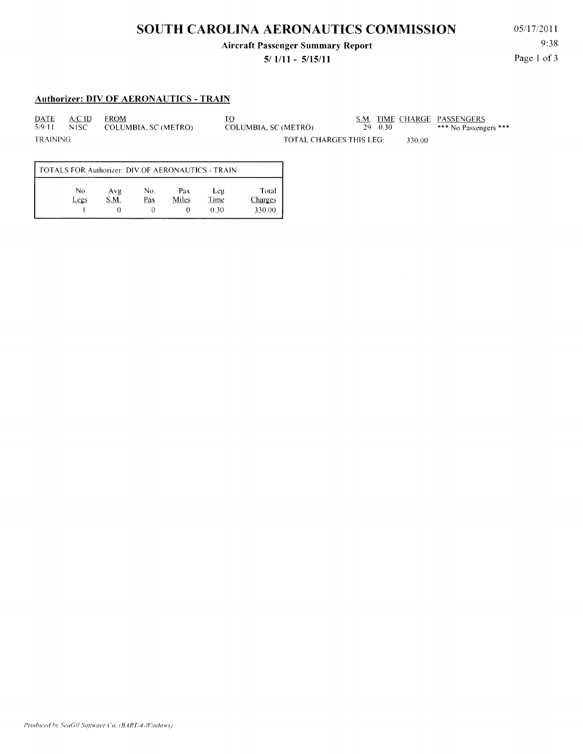## **SOUTH CAROLINA AERONAUTICS COMMISSION**

#### **Aircraft Passenger Summary Report**

#### **5/ 1111 - 5/15/11**

05/1712011 9:38 Page 1 of 3

#### **Authorizer: DIY OF AERONAUTICS - TRAIN**

DATE A!C ID FROM TO S.M. TIME CHARGE PASSENGERS

5/9/11 N ISC COLUMBIA, SC (METRO) COLUMBIA, SC (METRO) 29 0.30 \*\*\* No Passengers \*\*\* TRAINING TRAINING TOTAL CHARGES THIS LEG: 330.00

 $\sim$ 

TOTALS FOR Authorizer: DIY OF AERONAUTICS -TRAIN No. Avg No. Pax Leg Total S.M. Pax Miles Time Legs Charges  $\overline{0}$ 0  $0.30$ I  $\overline{0}$ 330.00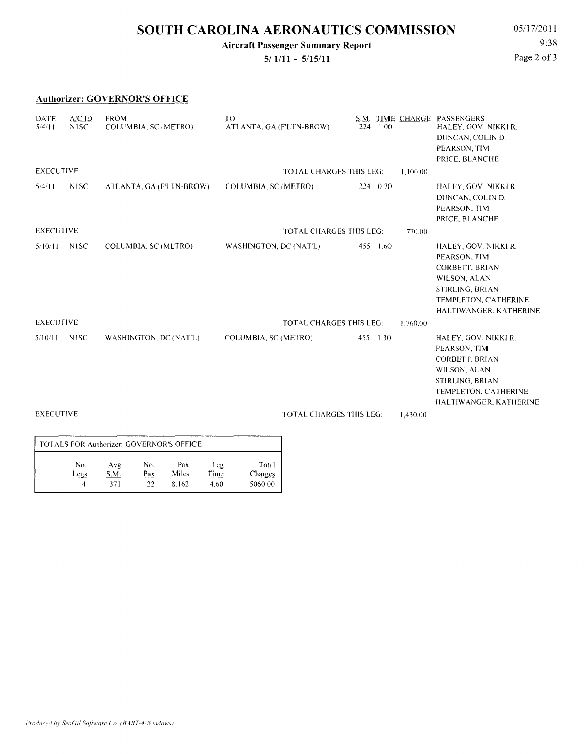## **SOUTH CAROLINA AERONAUTICS COMMISSION** 05/17/2011

**Aircraft Passenger Summary Report** 

**5/ 1/11 - 5/15/11** 

9:38 Page 2 of 3

|                  |                               | <b>Authorizer: GOVERNOR'S OFFICE</b> |                                            |             |          |                                                                                                                                                    |
|------------------|-------------------------------|--------------------------------------|--------------------------------------------|-------------|----------|----------------------------------------------------------------------------------------------------------------------------------------------------|
| DATE<br>5/4/11   | $A/C$ ID<br>N <sub>1</sub> SC | <b>FROM</b><br>COLUMBIA, SC (METRO)  | T <sub>O</sub><br>ATLANTA, GA (F'LTN-BROW) | 1.00<br>224 |          | S.M. TIME CHARGE PASSENGERS<br>HALEY, GOV. NIKKI R.<br>DUNCAN, COLIN D.<br>PEARSON, TIM<br>PRICE, BLANCHE                                          |
| <b>EXECUTIVE</b> |                               |                                      | <b>TOTAL CHARGES THIS LEG:</b>             | 1,100.00    |          |                                                                                                                                                    |
| 5/4/11           | <b>NISC</b>                   | ATLANTA, GA (F'LTN-BROW)             | COLUMBIA, SC (METRO)                       | 224 0.70    |          | HALEY, GOV. NIKKI R.<br>DUNCAN, COLIN D.<br>PEARSON, TIM<br>PRICE, BLANCHE                                                                         |
| <b>EXECUTIVE</b> |                               |                                      | <b>TOTAL CHARGES THIS LEG:</b>             |             |          |                                                                                                                                                    |
| 5/10/11          | <b>NISC</b>                   | COLUMBIA, SC (METRO)                 | WASHINGTON, DC (NAT'L)                     | 455 1.60    |          | HALEY, GOV. NIKKI R.<br>PEARSON, TIM<br><b>CORBETT, BRIAN</b><br>WILSON, ALAN<br>STIRLING, BRIAN<br>TEMPLETON, CATHERINE<br>HALTIWANGER, KATHERINE |
| <b>EXECUTIVE</b> |                               |                                      | <b>TOTAL CHARGES THIS LEG:</b>             |             | 1,760.00 |                                                                                                                                                    |
| 5/10/11          | <b>NISC</b>                   | WASHINGTON, DC (NAT'L)               | COLUMBIA, SC (METRO)                       | 455 1.30    |          | HALEY, GOV. NIKKI R.<br>PEARSON, TIM<br><b>CORBETT, BRIAN</b><br>WILSON, ALAN<br>STIRLING, BRIAN<br>TEMPLETON, CATHERINE<br>HALTIWANGER, KATHERINE |
| <b>EXECUTIVE</b> |                               |                                      | <b>TOTAL CHARGES THIS LEG:</b><br>1,430.00 |             |          |                                                                                                                                                    |
|                  |                               |                                      |                                            |             |          |                                                                                                                                                    |

| TOTALS FOR Authorizer: GOVERNOR'S OFFICE |      |     |       |      |         |  |  |  |  |
|------------------------------------------|------|-----|-------|------|---------|--|--|--|--|
| No.                                      | Avg  | No. | Pax   | Leg  | Total   |  |  |  |  |
| Legs                                     | S.M. | Pax | Miles | Time | Charges |  |  |  |  |
|                                          | 371  | 22  | 8.162 | 4.60 | 5060.00 |  |  |  |  |